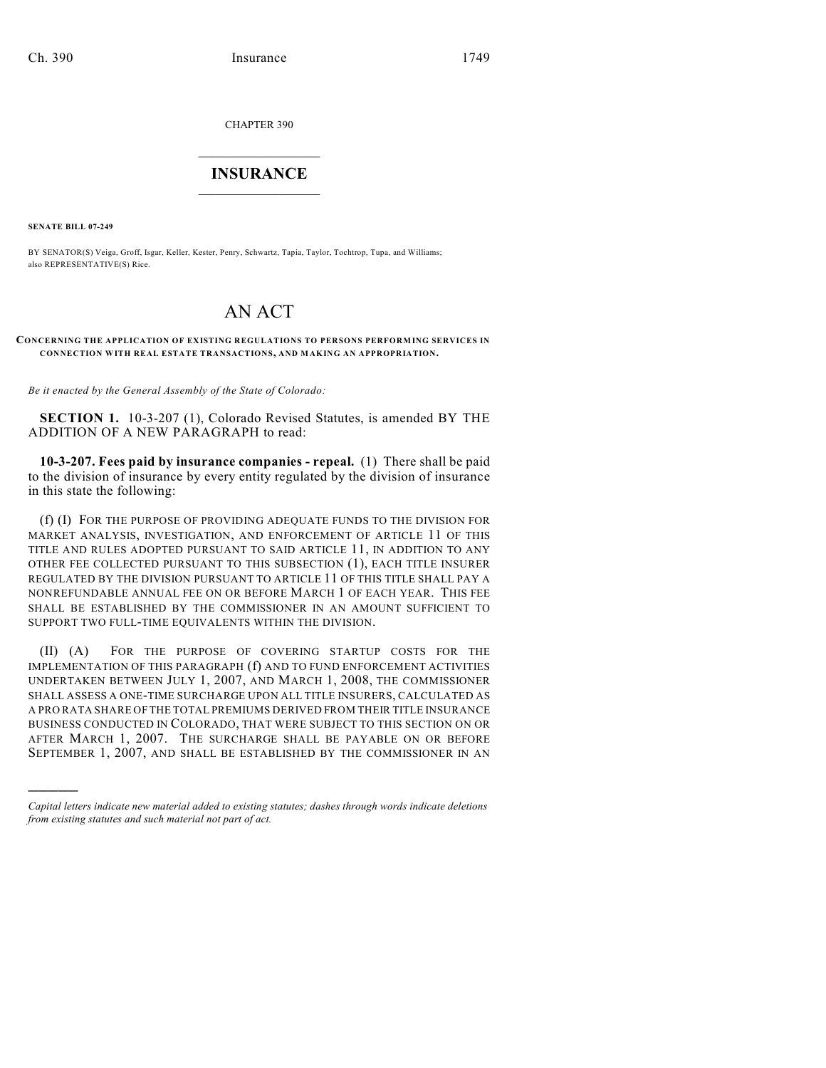CHAPTER 390

## $\overline{\phantom{a}}$  . The set of the set of the set of the set of the set of the set of the set of the set of the set of the set of the set of the set of the set of the set of the set of the set of the set of the set of the set o **INSURANCE**  $\frac{1}{2}$  ,  $\frac{1}{2}$  ,  $\frac{1}{2}$  ,  $\frac{1}{2}$  ,  $\frac{1}{2}$  ,  $\frac{1}{2}$  ,  $\frac{1}{2}$

**SENATE BILL 07-249**

)))))

BY SENATOR(S) Veiga, Groff, Isgar, Keller, Kester, Penry, Schwartz, Tapia, Taylor, Tochtrop, Tupa, and Williams; also REPRESENTATIVE(S) Rice.

## AN ACT

## **CONCERNING THE APPLICATION OF EXISTING REGULATIONS TO PERSONS PERFORMING SERVICES IN CONNECTION WITH REAL ESTATE TRANSACTIONS, AND MAKING AN APPROPRIATION.**

*Be it enacted by the General Assembly of the State of Colorado:*

**SECTION 1.** 10-3-207 (1), Colorado Revised Statutes, is amended BY THE ADDITION OF A NEW PARAGRAPH to read:

**10-3-207. Fees paid by insurance companies - repeal.** (1) There shall be paid to the division of insurance by every entity regulated by the division of insurance in this state the following:

(f) (I) FOR THE PURPOSE OF PROVIDING ADEQUATE FUNDS TO THE DIVISION FOR MARKET ANALYSIS, INVESTIGATION, AND ENFORCEMENT OF ARTICLE 11 OF THIS TITLE AND RULES ADOPTED PURSUANT TO SAID ARTICLE 11, IN ADDITION TO ANY OTHER FEE COLLECTED PURSUANT TO THIS SUBSECTION (1), EACH TITLE INSURER REGULATED BY THE DIVISION PURSUANT TO ARTICLE 11 OF THIS TITLE SHALL PAY A NONREFUNDABLE ANNUAL FEE ON OR BEFORE MARCH 1 OF EACH YEAR. THIS FEE SHALL BE ESTABLISHED BY THE COMMISSIONER IN AN AMOUNT SUFFICIENT TO SUPPORT TWO FULL-TIME EQUIVALENTS WITHIN THE DIVISION.

(II) (A) FOR THE PURPOSE OF COVERING STARTUP COSTS FOR THE IMPLEMENTATION OF THIS PARAGRAPH (f) AND TO FUND ENFORCEMENT ACTIVITIES UNDERTAKEN BETWEEN JULY 1, 2007, AND MARCH 1, 2008, THE COMMISSIONER SHALL ASSESS A ONE-TIME SURCHARGE UPON ALL TITLE INSURERS, CALCULATED AS A PRO RATA SHARE OFTHE TOTAL PREMIUMS DERIVED FROM THEIR TITLE INSURANCE BUSINESS CONDUCTED IN COLORADO, THAT WERE SUBJECT TO THIS SECTION ON OR AFTER MARCH 1, 2007. THE SURCHARGE SHALL BE PAYABLE ON OR BEFORE SEPTEMBER 1, 2007, AND SHALL BE ESTABLISHED BY THE COMMISSIONER IN AN

*Capital letters indicate new material added to existing statutes; dashes through words indicate deletions from existing statutes and such material not part of act.*